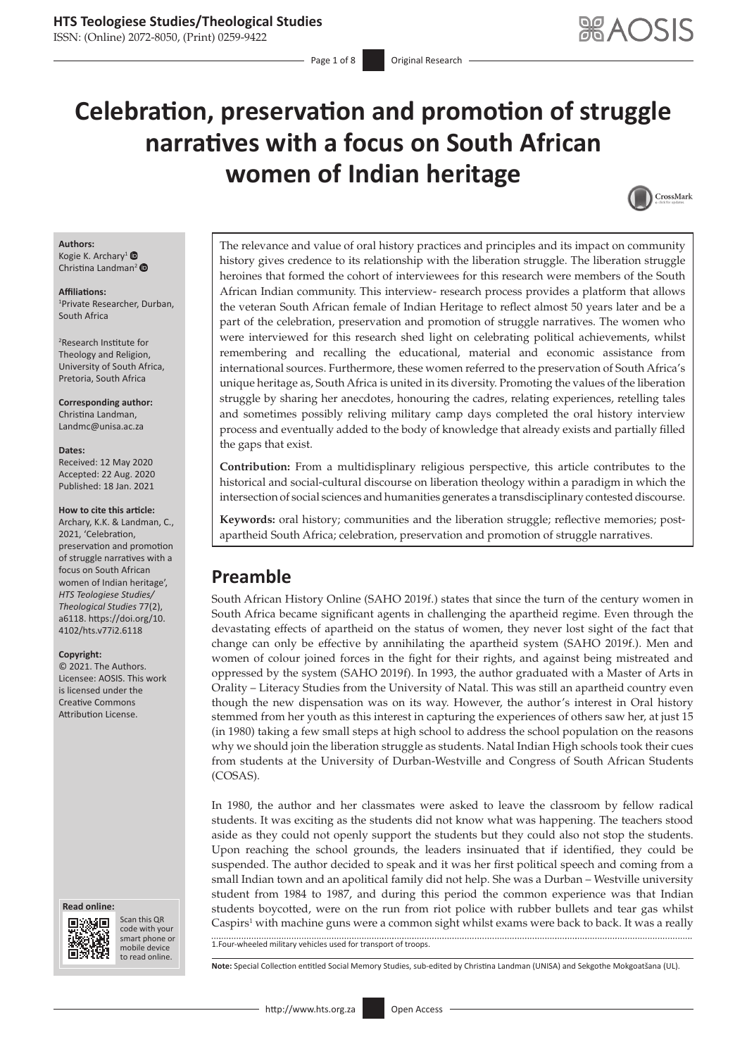# **Celebration, preservation and promotion of struggle narratives with a focus on South African women of Indian heritage**



#### **Authors:** Kogie K. Archary<sup>1</sup>  $\bullet$

Christina Landman<sup>[2](https://orcid.org/0000-0002-8905-0738)</sup>

#### **Affiliations:**

1 Private Researcher, Durban, South Africa

2 Research Institute for Theology and Religion, University of South Africa, Pretoria, South Africa

**Corresponding author:** Christina Landman, [Landmc@unisa.ac.za](mailto:Landmc@unisa.ac.za)

#### **Dates:**

Received: 12 May 2020 Accepted: 22 Aug. 2020 Published: 18 Jan. 2021

#### **How to cite this article:**

Archary, K.K. & Landman, C., 2021, 'Celebration, preservation and promotion of struggle narratives with a focus on South African women of Indian heritage', *HTS Teologiese Studies/ Theological Studies* 77(2), a6118. [https://doi.org/10.](https://doi.org/10.4102/hts.v77i2.6118) [4102/hts.v77i2.6118](https://doi.org/10.4102/hts.v77i2.6118)

#### **Copyright:**

© 2021. The Authors. Licensee: AOSIS. This work is licensed under the Creative Commons Attribution License.

#### **Read online: Read online:**



Scan this QR code with your Scan this QR<br>code with your<br>smart phone or<br>mobile device mobile device to read online. to read online.

The relevance and value of oral history practices and principles and its impact on community history gives credence to its relationship with the liberation struggle. The liberation struggle heroines that formed the cohort of interviewees for this research were members of the South African Indian community. This interview- research process provides a platform that allows the veteran South African female of Indian Heritage to reflect almost 50 years later and be a part of the celebration, preservation and promotion of struggle narratives. The women who were interviewed for this research shed light on celebrating political achievements, whilst remembering and recalling the educational, material and economic assistance from international sources. Furthermore, these women referred to the preservation of South Africa's unique heritage as, South Africa is united in its diversity. Promoting the values of the liberation struggle by sharing her anecdotes, honouring the cadres, relating experiences, retelling tales and sometimes possibly reliving military camp days completed the oral history interview process and eventually added to the body of knowledge that already exists and partially filled the gaps that exist.

**Contribution:** From a multidisplinary religious perspective, this article contributes to the historical and social-cultural discourse on liberation theology within a paradigm in which the intersection of social sciences and humanities generates a transdisciplinary contested discourse.

**Keywords:** oral history; communities and the liberation struggle; reflective memories; postapartheid South Africa; celebration, preservation and promotion of struggle narratives.

# **Preamble**

South African History Online (SAHO 2019f.) states that since the turn of the century women in South Africa became significant agents in challenging the apartheid regime. Even through the devastating effects of apartheid on the status of women, they never lost sight of the fact that change can only be effective by annihilating the apartheid system (SAHO 2019f.). Men and women of colour joined forces in the fight for their rights, and against being mistreated and oppressed by the system (SAHO 2019f). In 1993, the author graduated with a Master of Arts in Orality – Literacy Studies from the University of Natal. This was still an apartheid country even though the new dispensation was on its way. However, the author's interest in Oral history stemmed from her youth as this interest in capturing the experiences of others saw her, at just 15 (in 1980) taking a few small steps at high school to address the school population on the reasons why we should join the liberation struggle as students. Natal Indian High schools took their cues from students at the University of Durban-Westville and Congress of South African Students (COSAS).

In 1980, the author and her classmates were asked to leave the classroom by fellow radical students. It was exciting as the students did not know what was happening. The teachers stood aside as they could not openly support the students but they could also not stop the students. Upon reaching the school grounds, the leaders insinuated that if identified, they could be suspended. The author decided to speak and it was her first political speech and coming from a small Indian town and an apolitical family did not help. She was a Durban – Westville university student from 1984 to 1987, and during this period the common experience was that Indian students boycotted, were on the run from riot police with rubber bullets and tear gas whilst Caspirs<sup>1</sup> with machine guns were a common sight whilst exams were back to back. It was a really

1.Four-wheeled military vehicles used for transport of troops.

**Note:** Special Collection entitled Social Memory Studies, sub-edited by Christina Landman (UNISA) and Sekgothe Mokgoatšana (UL).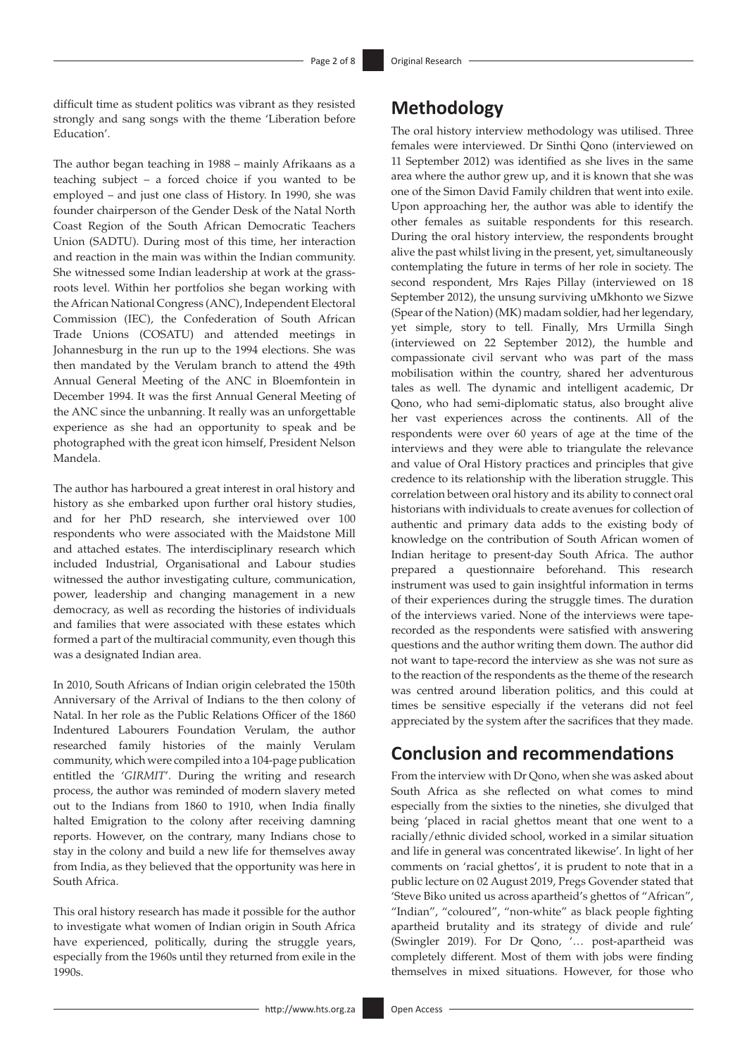difficult time as student politics was vibrant as they resisted strongly and sang songs with the theme 'Liberation before Education'.

The author began teaching in 1988 – mainly Afrikaans as a teaching subject – a forced choice if you wanted to be employed – and just one class of History. In 1990, she was founder chairperson of the Gender Desk of the Natal North Coast Region of the South African Democratic Teachers Union (SADTU). During most of this time, her interaction and reaction in the main was within the Indian community. She witnessed some Indian leadership at work at the grassroots level. Within her portfolios she began working with the African National Congress (ANC), Independent Electoral Commission (IEC), the Confederation of South African Trade Unions (COSATU) and attended meetings in Johannesburg in the run up to the 1994 elections. She was then mandated by the Verulam branch to attend the 49th Annual General Meeting of the ANC in Bloemfontein in December 1994. It was the first Annual General Meeting of the ANC since the unbanning. It really was an unforgettable experience as she had an opportunity to speak and be photographed with the great icon himself, President Nelson Mandela.

The author has harboured a great interest in oral history and history as she embarked upon further oral history studies, and for her PhD research, she interviewed over 100 respondents who were associated with the Maidstone Mill and attached estates. The interdisciplinary research which included Industrial, Organisational and Labour studies witnessed the author investigating culture, communication, power, leadership and changing management in a new democracy, as well as recording the histories of individuals and families that were associated with these estates which formed a part of the multiracial community, even though this was a designated Indian area.

In 2010, South Africans of Indian origin celebrated the 150th Anniversary of the Arrival of Indians to the then colony of Natal. In her role as the Public Relations Officer of the 1860 Indentured Labourers Foundation Verulam, the author researched family histories of the mainly Verulam community, which were compiled into a 104-page publication entitled the '*GIRMIT*'. During the writing and research process, the author was reminded of modern slavery meted out to the Indians from 1860 to 1910, when India finally halted Emigration to the colony after receiving damning reports. However, on the contrary, many Indians chose to stay in the colony and build a new life for themselves away from India, as they believed that the opportunity was here in South Africa.

This oral history research has made it possible for the author to investigate what women of Indian origin in South Africa have experienced, politically, during the struggle years, especially from the 1960s until they returned from exile in the 1990s.

# **Methodology**

The oral history interview methodology was utilised. Three females were interviewed. Dr Sinthi Qono (interviewed on 11 September 2012) was identified as she lives in the same area where the author grew up, and it is known that she was one of the Simon David Family children that went into exile. Upon approaching her, the author was able to identify the other females as suitable respondents for this research. During the oral history interview, the respondents brought alive the past whilst living in the present, yet, simultaneously contemplating the future in terms of her role in society. The second respondent, Mrs Rajes Pillay (interviewed on 18 September 2012), the unsung surviving uMkhonto we Sizwe (Spear of the Nation) (MK) madam soldier, had her legendary, yet simple, story to tell. Finally, Mrs Urmilla Singh (interviewed on 22 September 2012), the humble and compassionate civil servant who was part of the mass mobilisation within the country, shared her adventurous tales as well. The dynamic and intelligent academic, Dr Qono, who had semi-diplomatic status, also brought alive her vast experiences across the continents. All of the respondents were over 60 years of age at the time of the interviews and they were able to triangulate the relevance and value of Oral History practices and principles that give credence to its relationship with the liberation struggle. This correlation between oral history and its ability to connect oral historians with individuals to create avenues for collection of authentic and primary data adds to the existing body of knowledge on the contribution of South African women of Indian heritage to present-day South Africa. The author prepared a questionnaire beforehand. This research instrument was used to gain insightful information in terms of their experiences during the struggle times. The duration of the interviews varied. None of the interviews were taperecorded as the respondents were satisfied with answering questions and the author writing them down. The author did not want to tape-record the interview as she was not sure as to the reaction of the respondents as the theme of the research was centred around liberation politics, and this could at times be sensitive especially if the veterans did not feel appreciated by the system after the sacrifices that they made.

# **Conclusion and recommendations**

From the interview with Dr Qono, when she was asked about South Africa as she reflected on what comes to mind especially from the sixties to the nineties, she divulged that being 'placed in racial ghettos meant that one went to a racially/ethnic divided school, worked in a similar situation and life in general was concentrated likewise'. In light of her comments on 'racial ghettos', it is prudent to note that in a public lecture on 02 August 2019, Pregs Govender stated that 'Steve Biko united us across apartheid's ghettos of "African", "Indian", "coloured", "non-white" as black people fighting apartheid brutality and its strategy of divide and rule' (Swingler 2019). For Dr Qono, '… post-apartheid was completely different. Most of them with jobs were finding themselves in mixed situations. However, for those who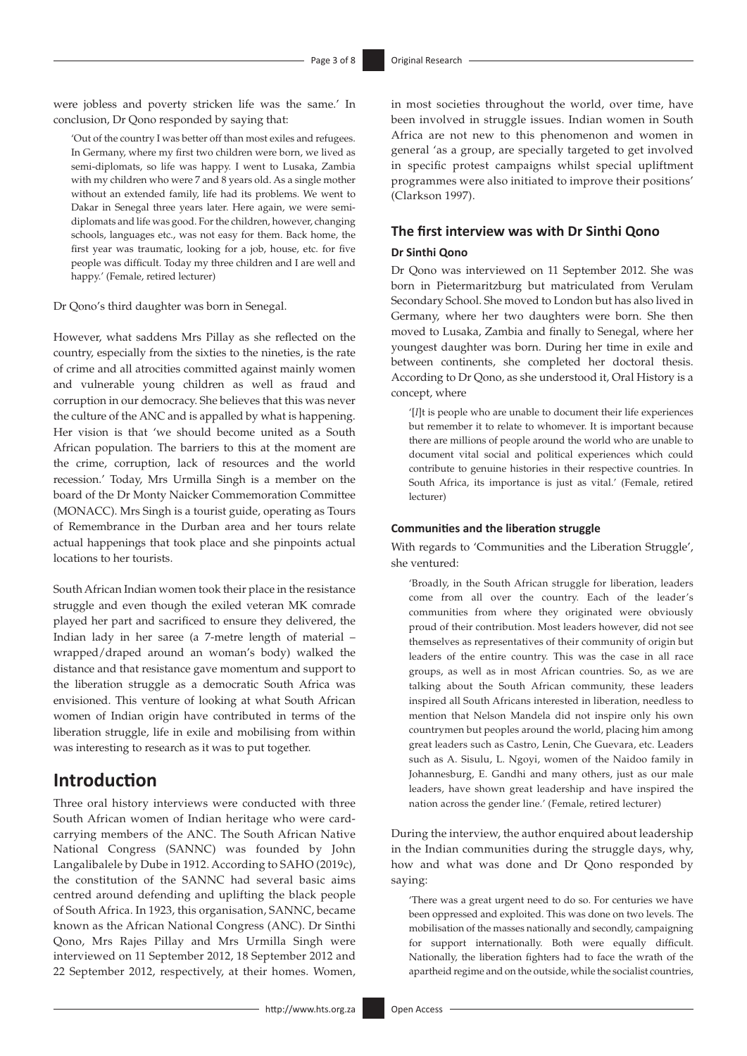were jobless and poverty stricken life was the same.' In conclusion, Dr Qono responded by saying that:

'Out of the country I was better off than most exiles and refugees. In Germany, where my first two children were born, we lived as semi-diplomats, so life was happy. I went to Lusaka, Zambia with my children who were 7 and 8 years old. As a single mother without an extended family, life had its problems. We went to Dakar in Senegal three years later. Here again, we were semidiplomats and life was good. For the children, however, changing schools, languages etc., was not easy for them. Back home, the first year was traumatic, looking for a job, house, etc. for five people was difficult. Today my three children and I are well and happy.' (Female, retired lecturer)

Dr Qono's third daughter was born in Senegal.

However, what saddens Mrs Pillay as she reflected on the country, especially from the sixties to the nineties, is the rate of crime and all atrocities committed against mainly women and vulnerable young children as well as fraud and corruption in our democracy. She believes that this was never the culture of the ANC and is appalled by what is happening. Her vision is that 'we should become united as a South African population. The barriers to this at the moment are the crime, corruption, lack of resources and the world recession.' Today, Mrs Urmilla Singh is a member on the board of the Dr Monty Naicker Commemoration Committee (MONACC). Mrs Singh is a tourist guide, operating as Tours of Remembrance in the Durban area and her tours relate actual happenings that took place and she pinpoints actual locations to her tourists.

South African Indian women took their place in the resistance struggle and even though the exiled veteran MK comrade played her part and sacrificed to ensure they delivered, the Indian lady in her saree (a 7-metre length of material – wrapped/draped around an woman's body) walked the distance and that resistance gave momentum and support to the liberation struggle as a democratic South Africa was envisioned. This venture of looking at what South African women of Indian origin have contributed in terms of the liberation struggle, life in exile and mobilising from within was interesting to research as it was to put together.

# **Introduction**

Three oral history interviews were conducted with three South African women of Indian heritage who were cardcarrying members of the ANC. The South African Native National Congress (SANNC) was founded by John Langalibalele by Dube in 1912. According to SAHO (2019c), the constitution of the SANNC had several basic aims centred around defending and uplifting the black people of South Africa. In 1923, this organisation, SANNC, became known as the African National Congress (ANC). Dr Sinthi Qono, Mrs Rajes Pillay and Mrs Urmilla Singh were interviewed on 11 September 2012, 18 September 2012 and 22 September 2012, respectively, at their homes. Women,

in most societies throughout the world, over time, have been involved in struggle issues. Indian women in South Africa are not new to this phenomenon and women in general 'as a group, are specially targeted to get involved in specific protest campaigns whilst special upliftment programmes were also initiated to improve their positions' (Clarkson 1997).

# **The first interview was with Dr Sinthi Qono**

### **Dr Sinthi Qono**

Dr Qono was interviewed on 11 September 2012. She was born in Pietermaritzburg but matriculated from Verulam Secondary School. She moved to London but has also lived in Germany, where her two daughters were born. She then moved to Lusaka, Zambia and finally to Senegal, where her youngest daughter was born. During her time in exile and between continents, she completed her doctoral thesis. According to Dr Qono, as she understood it, Oral History is a concept, where

'[*I*]t is people who are unable to document their life experiences but remember it to relate to whomever. It is important because there are millions of people around the world who are unable to document vital social and political experiences which could contribute to genuine histories in their respective countries. In South Africa, its importance is just as vital.' (Female, retired lecturer)

# **Communities and the liberation struggle**

With regards to 'Communities and the Liberation Struggle', she ventured:

'Broadly, in the South African struggle for liberation, leaders come from all over the country. Each of the leader's communities from where they originated were obviously proud of their contribution. Most leaders however, did not see themselves as representatives of their community of origin but leaders of the entire country. This was the case in all race groups, as well as in most African countries. So, as we are talking about the South African community, these leaders inspired all South Africans interested in liberation, needless to mention that Nelson Mandela did not inspire only his own countrymen but peoples around the world, placing him among great leaders such as Castro, Lenin, Che Guevara, etc. Leaders such as A. Sisulu, L. Ngoyi, women of the Naidoo family in Johannesburg, E. Gandhi and many others, just as our male leaders, have shown great leadership and have inspired the nation across the gender line.' (Female, retired lecturer)

During the interview, the author enquired about leadership in the Indian communities during the struggle days, why, how and what was done and Dr Qono responded by saying:

'There was a great urgent need to do so. For centuries we have been oppressed and exploited. This was done on two levels. The mobilisation of the masses nationally and secondly, campaigning for support internationally. Both were equally difficult. Nationally, the liberation fighters had to face the wrath of the apartheid regime and on the outside, while the socialist countries,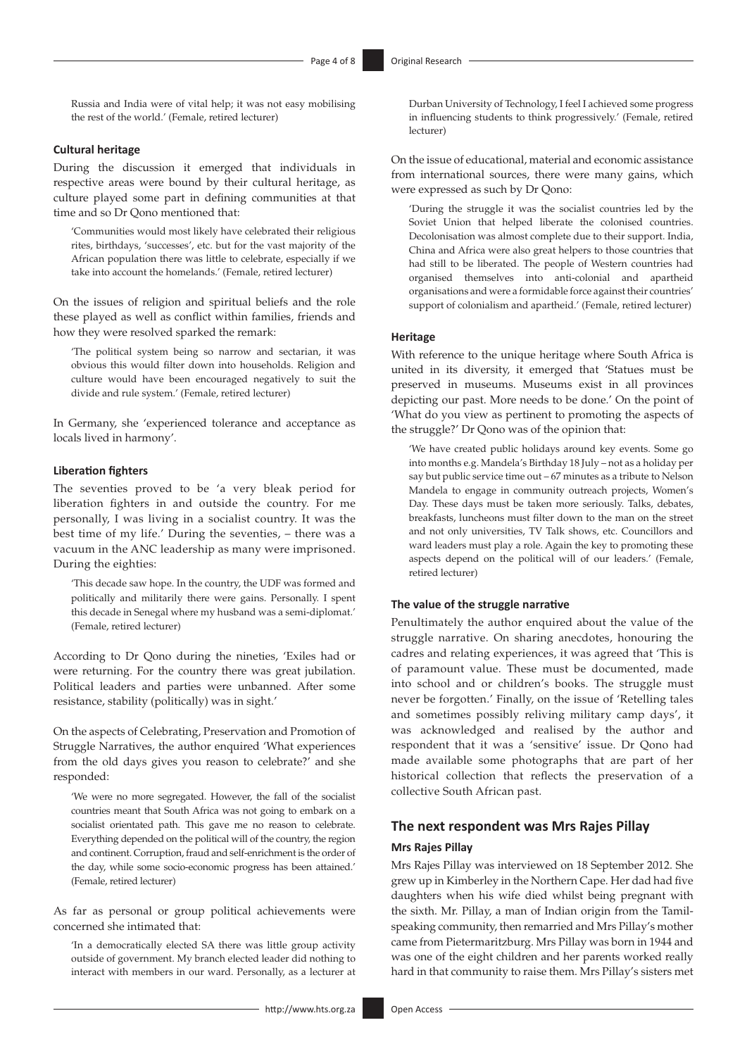Russia and India were of vital help; it was not easy mobilising the rest of the world.' (Female, retired lecturer)

# **Cultural heritage**

During the discussion it emerged that individuals in respective areas were bound by their cultural heritage, as culture played some part in defining communities at that time and so Dr Qono mentioned that:

'Communities would most likely have celebrated their religious rites, birthdays, 'successes', etc. but for the vast majority of the African population there was little to celebrate, especially if we take into account the homelands.' (Female, retired lecturer)

On the issues of religion and spiritual beliefs and the role these played as well as conflict within families, friends and how they were resolved sparked the remark:

'The political system being so narrow and sectarian, it was obvious this would filter down into households. Religion and culture would have been encouraged negatively to suit the divide and rule system.' (Female, retired lecturer)

In Germany, she 'experienced tolerance and acceptance as locals lived in harmony'.

#### **Liberation fighters**

The seventies proved to be 'a very bleak period for liberation fighters in and outside the country. For me personally, I was living in a socialist country. It was the best time of my life.' During the seventies, – there was a vacuum in the ANC leadership as many were imprisoned. During the eighties:

'This decade saw hope. In the country, the UDF was formed and politically and militarily there were gains. Personally. I spent this decade in Senegal where my husband was a semi-diplomat.' (Female, retired lecturer)

According to Dr Qono during the nineties, 'Exiles had or were returning. For the country there was great jubilation. Political leaders and parties were unbanned. After some resistance, stability (politically) was in sight.'

On the aspects of Celebrating, Preservation and Promotion of Struggle Narratives, the author enquired 'What experiences from the old days gives you reason to celebrate?' and she responded:

'We were no more segregated. However, the fall of the socialist countries meant that South Africa was not going to embark on a socialist orientated path. This gave me no reason to celebrate. Everything depended on the political will of the country, the region and continent. Corruption, fraud and self-enrichment is the order of the day, while some socio-economic progress has been attained.' (Female, retired lecturer)

As far as personal or group political achievements were concerned she intimated that:

'In a democratically elected SA there was little group activity outside of government. My branch elected leader did nothing to interact with members in our ward. Personally, as a lecturer at Durban University of Technology, I feel I achieved some progress in influencing students to think progressively.' (Female, retired lecturer)

On the issue of educational, material and economic assistance from international sources, there were many gains, which were expressed as such by Dr Qono:

'During the struggle it was the socialist countries led by the Soviet Union that helped liberate the colonised countries. Decolonisation was almost complete due to their support. India, China and Africa were also great helpers to those countries that had still to be liberated. The people of Western countries had organised themselves into anti-colonial and apartheid organisations and were a formidable force against their countries' support of colonialism and apartheid.' (Female, retired lecturer)

# **Heritage**

With reference to the unique heritage where South Africa is united in its diversity, it emerged that 'Statues must be preserved in museums. Museums exist in all provinces depicting our past. More needs to be done.' On the point of 'What do you view as pertinent to promoting the aspects of the struggle?' Dr Qono was of the opinion that:

'We have created public holidays around key events. Some go into months e.g. Mandela's Birthday 18 July – not as a holiday per say but public service time out – 67 minutes as a tribute to Nelson Mandela to engage in community outreach projects, Women's Day. These days must be taken more seriously. Talks, debates, breakfasts, luncheons must filter down to the man on the street and not only universities, TV Talk shows, etc. Councillors and ward leaders must play a role. Again the key to promoting these aspects depend on the political will of our leaders.' (Female, retired lecturer)

#### **The value of the struggle narrative**

Penultimately the author enquired about the value of the struggle narrative. On sharing anecdotes, honouring the cadres and relating experiences, it was agreed that 'This is of paramount value. These must be documented, made into school and or children's books. The struggle must never be forgotten.' Finally, on the issue of 'Retelling tales and sometimes possibly reliving military camp days', it was acknowledged and realised by the author and respondent that it was a 'sensitive' issue. Dr Qono had made available some photographs that are part of her historical collection that reflects the preservation of a collective South African past.

#### **The next respondent was Mrs Rajes Pillay**

#### **Mrs Rajes Pillay**

Mrs Rajes Pillay was interviewed on 18 September 2012. She grew up in Kimberley in the Northern Cape. Her dad had five daughters when his wife died whilst being pregnant with the sixth. Mr. Pillay, a man of Indian origin from the Tamilspeaking community, then remarried and Mrs Pillay's mother came from Pietermaritzburg. Mrs Pillay was born in 1944 and was one of the eight children and her parents worked really hard in that community to raise them. Mrs Pillay's sisters met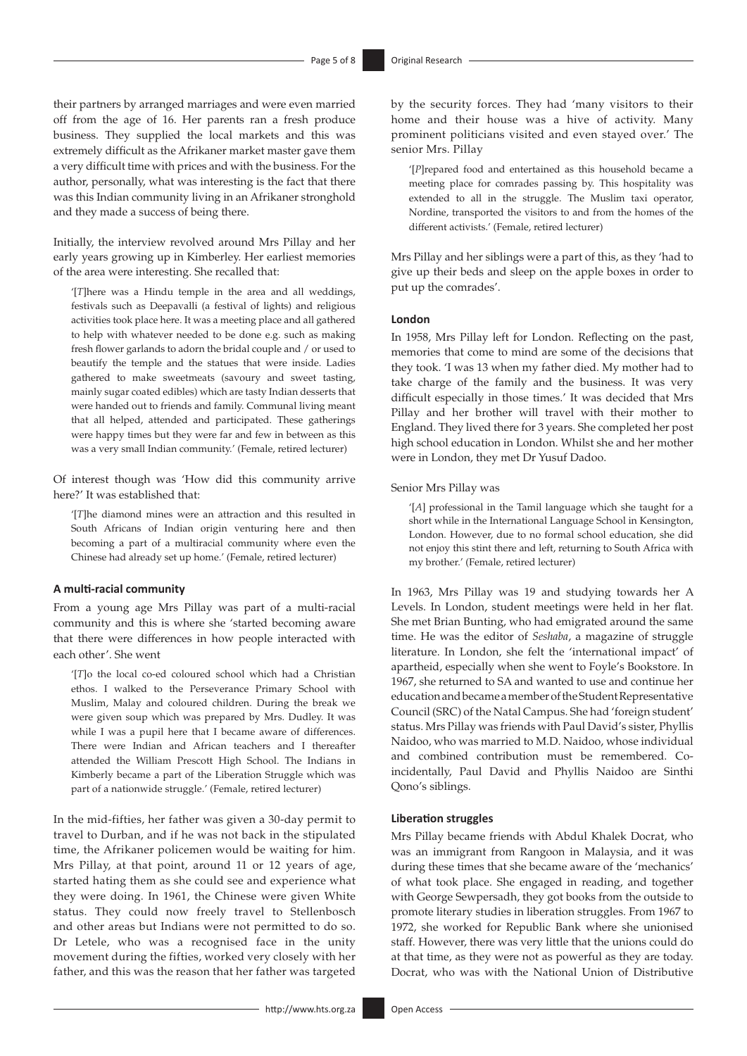their partners by arranged marriages and were even married off from the age of 16. Her parents ran a fresh produce business. They supplied the local markets and this was extremely difficult as the Afrikaner market master gave them a very difficult time with prices and with the business. For the author, personally, what was interesting is the fact that there was this Indian community living in an Afrikaner stronghold and they made a success of being there.

Initially, the interview revolved around Mrs Pillay and her early years growing up in Kimberley. Her earliest memories of the area were interesting. She recalled that:

'[*T*]here was a Hindu temple in the area and all weddings, festivals such as Deepavalli (a festival of lights) and religious activities took place here. It was a meeting place and all gathered to help with whatever needed to be done e.g. such as making fresh flower garlands to adorn the bridal couple and / or used to beautify the temple and the statues that were inside. Ladies gathered to make sweetmeats (savoury and sweet tasting, mainly sugar coated edibles) which are tasty Indian desserts that were handed out to friends and family. Communal living meant that all helped, attended and participated. These gatherings were happy times but they were far and few in between as this was a very small Indian community.' (Female, retired lecturer)

Of interest though was 'How did this community arrive here?' It was established that:

'[*T*]he diamond mines were an attraction and this resulted in South Africans of Indian origin venturing here and then becoming a part of a multiracial community where even the Chinese had already set up home.' (Female, retired lecturer)

#### **A multi-racial community**

From a young age Mrs Pillay was part of a multi-racial community and this is where she 'started becoming aware that there were differences in how people interacted with each other'. She went

'[*T*]o the local co-ed coloured school which had a Christian ethos. I walked to the Perseverance Primary School with Muslim, Malay and coloured children. During the break we were given soup which was prepared by Mrs. Dudley. It was while I was a pupil here that I became aware of differences. There were Indian and African teachers and I thereafter attended the William Prescott High School. The Indians in Kimberly became a part of the Liberation Struggle which was part of a nationwide struggle.' (Female, retired lecturer)

In the mid-fifties, her father was given a 30-day permit to travel to Durban, and if he was not back in the stipulated time, the Afrikaner policemen would be waiting for him. Mrs Pillay, at that point, around 11 or 12 years of age, started hating them as she could see and experience what they were doing. In 1961, the Chinese were given White status. They could now freely travel to Stellenbosch and other areas but Indians were not permitted to do so. Dr Letele, who was a recognised face in the unity movement during the fifties, worked very closely with her father, and this was the reason that her father was targeted

by the security forces. They had 'many visitors to their home and their house was a hive of activity. Many prominent politicians visited and even stayed over.' The senior Mrs. Pillay

'[*P*]repared food and entertained as this household became a meeting place for comrades passing by. This hospitality was extended to all in the struggle. The Muslim taxi operator, Nordine, transported the visitors to and from the homes of the different activists.' (Female, retired lecturer)

Mrs Pillay and her siblings were a part of this, as they 'had to give up their beds and sleep on the apple boxes in order to put up the comrades'.

#### **London**

In 1958, Mrs Pillay left for London. Reflecting on the past, memories that come to mind are some of the decisions that they took. 'I was 13 when my father died. My mother had to take charge of the family and the business. It was very difficult especially in those times.' It was decided that Mrs Pillay and her brother will travel with their mother to England. They lived there for 3 years. She completed her post high school education in London. Whilst she and her mother were in London, they met Dr Yusuf Dadoo.

#### Senior Mrs Pillay was

'[*A*] professional in the Tamil language which she taught for a short while in the International Language School in Kensington, London. However, due to no formal school education, she did not enjoy this stint there and left, returning to South Africa with my brother.' (Female, retired lecturer)

In 1963, Mrs Pillay was 19 and studying towards her A Levels. In London, student meetings were held in her flat. She met Brian Bunting, who had emigrated around the same time. He was the editor of *Seshaba*, a magazine of struggle literature. In London, she felt the 'international impact' of apartheid, especially when she went to Foyle's Bookstore. In 1967, she returned to SA and wanted to use and continue her education and became a member of the Student Representative Council (SRC) of the Natal Campus. She had 'foreign student' status. Mrs Pillay was friends with Paul David's sister, Phyllis Naidoo, who was married to M.D. Naidoo, whose individual and combined contribution must be remembered. Coincidentally, Paul David and Phyllis Naidoo are Sinthi Qono's siblings.

#### **Liberation struggles**

Mrs Pillay became friends with Abdul Khalek Docrat, who was an immigrant from Rangoon in Malaysia, and it was during these times that she became aware of the 'mechanics' of what took place. She engaged in reading, and together with George Sewpersadh, they got books from the outside to promote literary studies in liberation struggles. From 1967 to 1972, she worked for Republic Bank where she unionised staff. However, there was very little that the unions could do at that time, as they were not as powerful as they are today. Docrat, who was with the National Union of Distributive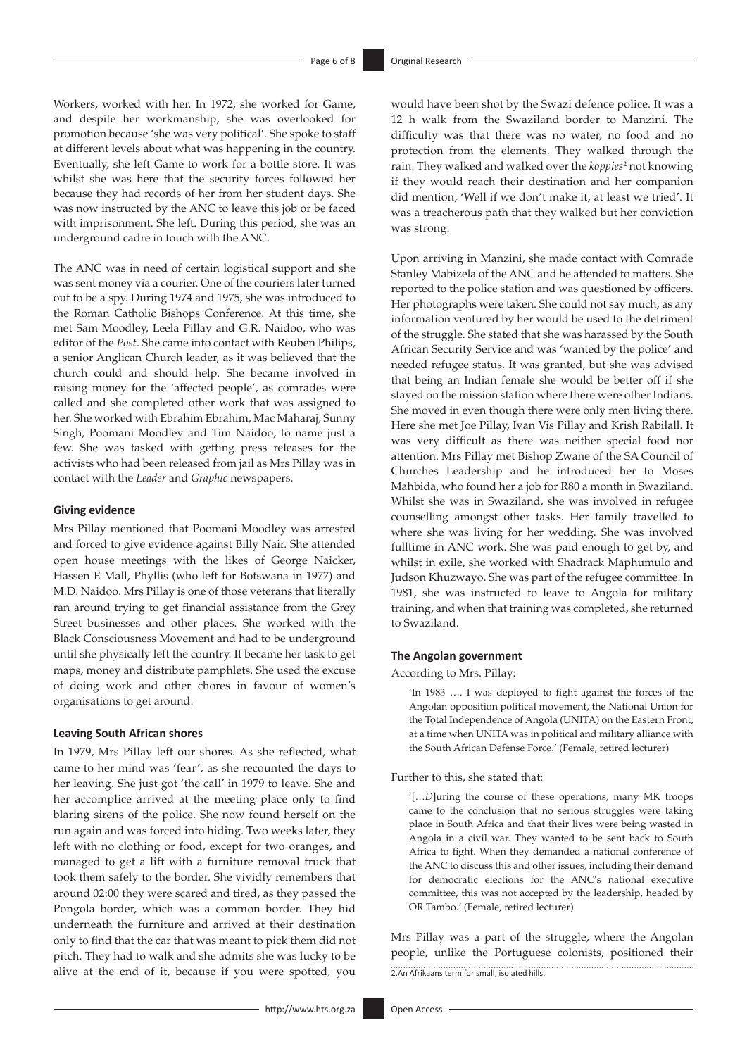Workers, worked with her. In 1972, she worked for Game, and despite her workmanship, she was overlooked for promotion because 'she was very political'. She spoke to staff at different levels about what was happening in the country. Eventually, she left Game to work for a bottle store. It was whilst she was here that the security forces followed her because they had records of her from her student days. She was now instructed by the ANC to leave this job or be faced with imprisonment. She left. During this period, she was an underground cadre in touch with the ANC.

The ANC was in need of certain logistical support and she was sent money via a courier. One of the couriers later turned out to be a spy. During 1974 and 1975, she was introduced to the Roman Catholic Bishops Conference. At this time, she met Sam Moodley, Leela Pillay and G.R. Naidoo, who was editor of the *Post*. She came into contact with Reuben Philips, a senior Anglican Church leader, as it was believed that the church could and should help. She became involved in raising money for the 'affected people', as comrades were called and she completed other work that was assigned to her. She worked with Ebrahim Ebrahim, Mac Maharaj, Sunny Singh, Poomani Moodley and Tim Naidoo, to name just a few. She was tasked with getting press releases for the activists who had been released from jail as Mrs Pillay was in contact with the *Leader* and *Graphic* newspapers.

#### **Giving evidence**

Mrs Pillay mentioned that Poomani Moodley was arrested and forced to give evidence against Billy Nair. She attended open house meetings with the likes of George Naicker, Hassen E Mall, Phyllis (who left for Botswana in 1977) and M.D. Naidoo. Mrs Pillay is one of those veterans that literally ran around trying to get financial assistance from the Grey Street businesses and other places. She worked with the Black Consciousness Movement and had to be underground until she physically left the country. It became her task to get maps, money and distribute pamphlets. She used the excuse of doing work and other chores in favour of women's organisations to get around.

#### **Leaving South African shores**

In 1979, Mrs Pillay left our shores. As she reflected, what came to her mind was 'fear', as she recounted the days to her leaving. She just got 'the call' in 1979 to leave. She and her accomplice arrived at the meeting place only to find blaring sirens of the police. She now found herself on the run again and was forced into hiding. Two weeks later, they left with no clothing or food, except for two oranges, and managed to get a lift with a furniture removal truck that took them safely to the border. She vividly remembers that around 02:00 they were scared and tired, as they passed the Pongola border, which was a common border. They hid underneath the furniture and arrived at their destination only to find that the car that was meant to pick them did not pitch. They had to walk and she admits she was lucky to be alive at the end of it, because if you were spotted, you

would have been shot by the Swazi defence police. It was a 12 h walk from the Swaziland border to Manzini. The difficulty was that there was no water, no food and no protection from the elements. They walked through the rain. They walked and walked over the *koppies*<sup>2</sup> not knowing if they would reach their destination and her companion did mention, 'Well if we don't make it, at least we tried'. It was a treacherous path that they walked but her conviction was strong.

Upon arriving in Manzini, she made contact with Comrade Stanley Mabizela of the ANC and he attended to matters. She reported to the police station and was questioned by officers. Her photographs were taken. She could not say much, as any information ventured by her would be used to the detriment of the struggle. She stated that she was harassed by the South African Security Service and was 'wanted by the police' and needed refugee status. It was granted, but she was advised that being an Indian female she would be better off if she stayed on the mission station where there were other Indians. She moved in even though there were only men living there. Here she met Joe Pillay, Ivan Vis Pillay and Krish Rabilall. It was very difficult as there was neither special food nor attention. Mrs Pillay met Bishop Zwane of the SA Council of Churches Leadership and he introduced her to Moses Mahbida, who found her a job for R80 a month in Swaziland. Whilst she was in Swaziland, she was involved in refugee counselling amongst other tasks. Her family travelled to where she was living for her wedding. She was involved fulltime in ANC work. She was paid enough to get by, and whilst in exile, she worked with Shadrack Maphumulo and Judson Khuzwayo. She was part of the refugee committee. In 1981, she was instructed to leave to Angola for military training, and when that training was completed, she returned to Swaziland.

#### **The Angolan government**

According to Mrs. Pillay:

'In 1983 …. I was deployed to fight against the forces of the Angolan opposition political movement, the National Union for the Total Independence of Angola (UNITA) on the Eastern Front, at a time when UNITA was in political and military alliance with the South African Defense Force.' (Female, retired lecturer)

Further to this, she stated that:

'[…*D*]uring the course of these operations, many MK troops came to the conclusion that no serious struggles were taking place in South Africa and that their lives were being wasted in Angola in a civil war. They wanted to be sent back to South Africa to fight. When they demanded a national conference of the ANC to discuss this and other issues, including their demand for democratic elections for the ANC's national executive committee, this was not accepted by the leadership, headed by OR Tambo.' (Female, retired lecturer)

Mrs Pillay was a part of the struggle, where the Angolan people, unlike the Portuguese colonists, positioned their 2.An Afrikaans term for small, isolated hills.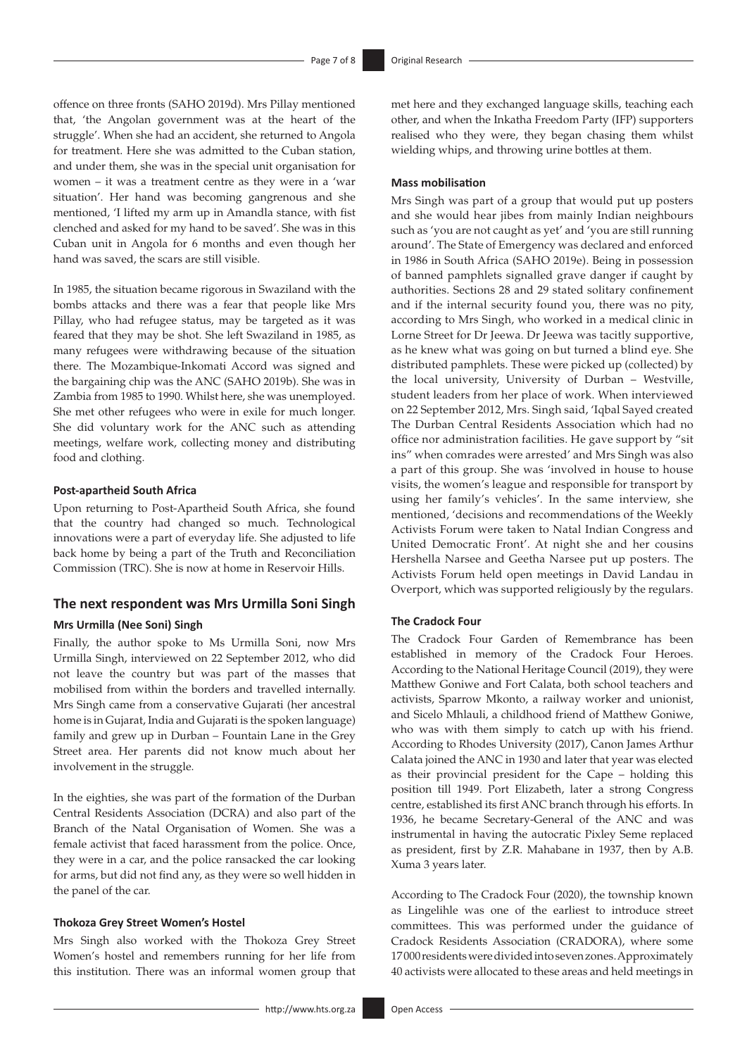offence on three fronts (SAHO 2019d). Mrs Pillay mentioned that, 'the Angolan government was at the heart of the struggle'. When she had an accident, she returned to Angola for treatment. Here she was admitted to the Cuban station, and under them, she was in the special unit organisation for women – it was a treatment centre as they were in a 'war situation'. Her hand was becoming gangrenous and she mentioned, 'I lifted my arm up in Amandla stance, with fist clenched and asked for my hand to be saved'. She was in this Cuban unit in Angola for 6 months and even though her hand was saved, the scars are still visible.

In 1985, the situation became rigorous in Swaziland with the bombs attacks and there was a fear that people like Mrs Pillay, who had refugee status, may be targeted as it was feared that they may be shot. She left Swaziland in 1985, as many refugees were withdrawing because of the situation there. The Mozambique-Inkomati Accord was signed and the bargaining chip was the ANC (SAHO 2019b). She was in Zambia from 1985 to 1990. Whilst here, she was unemployed. She met other refugees who were in exile for much longer. She did voluntary work for the ANC such as attending meetings, welfare work, collecting money and distributing food and clothing.

#### **Post-apartheid South Africa**

Upon returning to Post-Apartheid South Africa, she found that the country had changed so much. Technological innovations were a part of everyday life. She adjusted to life back home by being a part of the Truth and Reconciliation Commission (TRC). She is now at home in Reservoir Hills.

# **The next respondent was Mrs Urmilla Soni Singh**

#### **Mrs Urmilla (Nee Soni) Singh**

Finally, the author spoke to Ms Urmilla Soni, now Mrs Urmilla Singh, interviewed on 22 September 2012, who did not leave the country but was part of the masses that mobilised from within the borders and travelled internally. Mrs Singh came from a conservative Gujarati (her ancestral home is in Gujarat, India and Gujarati is the spoken language) family and grew up in Durban – Fountain Lane in the Grey Street area. Her parents did not know much about her involvement in the struggle.

In the eighties, she was part of the formation of the Durban Central Residents Association (DCRA) and also part of the Branch of the Natal Organisation of Women. She was a female activist that faced harassment from the police. Once, they were in a car, and the police ransacked the car looking for arms, but did not find any, as they were so well hidden in the panel of the car.

#### **Thokoza Grey Street Women's Hostel**

Mrs Singh also worked with the Thokoza Grey Street Women's hostel and remembers running for her life from this institution. There was an informal women group that

met here and they exchanged language skills, teaching each other, and when the Inkatha Freedom Party (IFP) supporters realised who they were, they began chasing them whilst wielding whips, and throwing urine bottles at them.

### **Mass mobilisation**

Mrs Singh was part of a group that would put up posters and she would hear jibes from mainly Indian neighbours such as 'you are not caught as yet' and 'you are still running around'. The State of Emergency was declared and enforced in 1986 in South Africa (SAHO 2019e). Being in possession of banned pamphlets signalled grave danger if caught by authorities. Sections 28 and 29 stated solitary confinement and if the internal security found you, there was no pity, according to Mrs Singh, who worked in a medical clinic in Lorne Street for Dr Jeewa. Dr Jeewa was tacitly supportive, as he knew what was going on but turned a blind eye. She distributed pamphlets. These were picked up (collected) by the local university, University of Durban – Westville, student leaders from her place of work. When interviewed on 22 September 2012, Mrs. Singh said, 'Iqbal Sayed created The Durban Central Residents Association which had no office nor administration facilities. He gave support by "sit ins" when comrades were arrested' and Mrs Singh was also a part of this group. She was 'involved in house to house visits, the women's league and responsible for transport by using her family's vehicles'. In the same interview, she mentioned, 'decisions and recommendations of the Weekly Activists Forum were taken to Natal Indian Congress and United Democratic Front'. At night she and her cousins Hershella Narsee and Geetha Narsee put up posters. The Activists Forum held open meetings in David Landau in Overport, which was supported religiously by the regulars.

#### **The Cradock Four**

The Cradock Four Garden of Remembrance has been established in memory of the Cradock Four Heroes. According to the National Heritage Council (2019), they were Matthew Goniwe and Fort Calata, both school teachers and activists, Sparrow Mkonto, a railway worker and unionist, and Sicelo Mhlauli, a childhood friend of Matthew Goniwe, who was with them simply to catch up with his friend. According to Rhodes University (2017), Canon James Arthur Calata joined the ANC in 1930 and later that year was elected as their provincial president for the Cape – holding this position till 1949. Port Elizabeth, later a strong Congress centre, established its first ANC branch through his efforts. In 1936, he became Secretary-General of the ANC and was instrumental in having the autocratic Pixley Seme replaced as president, first by Z.R. Mahabane in 1937, then by A.B. Xuma 3 years later.

According to The Cradock Four (2020), the township known as Lingelihle was one of the earliest to introduce street committees. This was performed under the guidance of Cradock Residents Association (CRADORA), where some 17000 residents were divided into seven zones. Approximately 40 activists were allocated to these areas and held meetings in